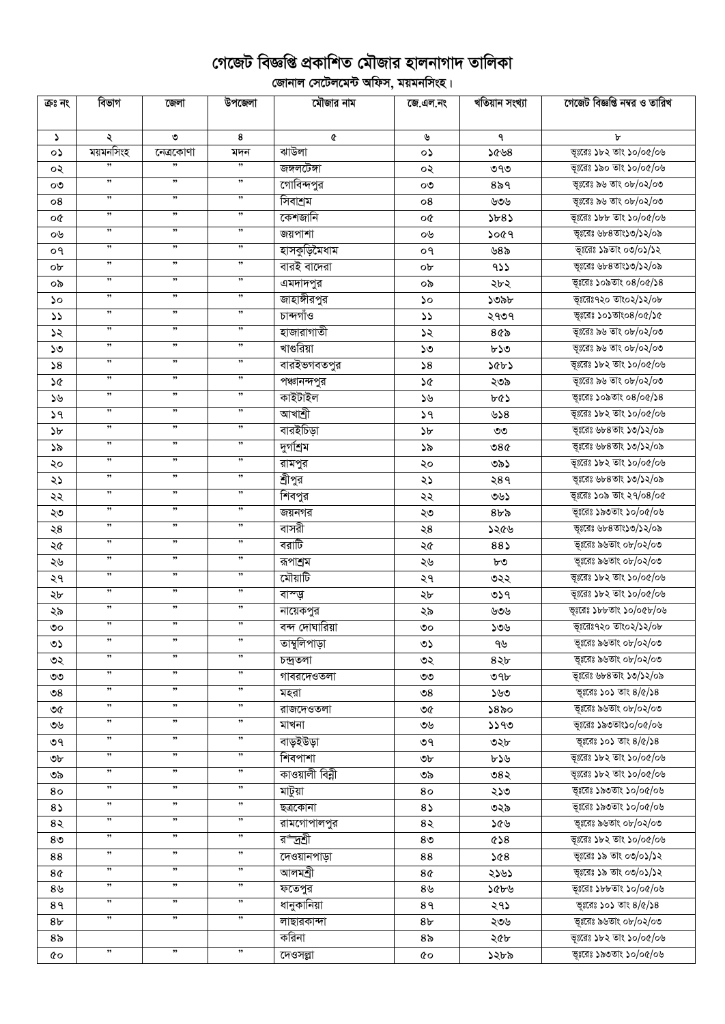## গেজেট বিজ্ঞপ্তি প্রকাশিত মৌজার হালনাগাদ তালিকা

ূলিকা<br>বিদ্যালয় সেটেলমেন্ট অফিস, ময়মনসিংহ।

| ক্ৰঃ নং        | বিভাগ                | জেলা      | উপজেলা               | মৌজার নাম       | জে.এল.নং              | খতিয়ান সংখ্যা | গেজেট বিজ্ঞপ্তি নম্বর ও তারিখ |
|----------------|----------------------|-----------|----------------------|-----------------|-----------------------|----------------|-------------------------------|
|                |                      |           |                      |                 |                       |                |                               |
| S.             | ২                    | ৩         | 8                    | ¢               | ৬                     | ٩              | ৮                             |
| o۵             | ময়মনসিংহ            | নেত্ৰকোণা | মদন                  | ঝাউলা           | ০১                    | ১৫৬৪           | ভূঃরেঃ ১৮২ তাং ১০/০৫/০৬       |
| ০২             |                      |           |                      | জঙ্গলটেঙ্গা     | ০২                    | ৩৭৩            | ভূঃরেঃ ১৯০ তাং ১০/০৫/০৬       |
| ೲ              | ,,                   | ,,        | ,,                   | গোবিন্দপুর      | ೲ                     | $8\delta$ ৭    | ভূঃরেঃ ৯৬ তাং ০৮/০২/০৩        |
| 08             | ,,                   | ,,        | $, \,$               | সিবাশ্রম        | 08                    | ৬৩৬            | ভূঃরেঃ ৯৬ তাং ০৮/০২/০৩        |
| o¢             | ,,                   | ,         | ,,                   | কেশজানি         | o¢                    | 5b85           | ভূঃরেঃ ১৮৮ তাং ১০/০৫/০৬       |
| ০৬             | $, \,$               | ,         | $, \,$               | জয়পাশা         | ০৬                    | ১০৫৭           | ভূঃরেঃ ৬৮৪তাং১৩/১২/০৯         |
| ०१             | ,                    | ,         | , ,                  | হাসকুড়িমৈধাম   | ०१                    | ৬৪৯            | ভূঃরেঃ ১৯তাং ০৩/০১/১২         |
| ob             | ,                    | $, \,$    | $, \,$               | বারই বাদেরা     | ob                    | 955            | ভূঃরেঃ ৬৮৪তাং১৩/১২/০৯         |
| ০৯             | $, \,$               | ,         | $, \,$               | এমদাদপুর        | ০৯                    | ২৮২            | ভূঃরেঃ ১০৯তাং ০৪/০৫/১৪        |
| ১০             | $, \,$               | ,         | $, \,$               | জাহাঙ্গীরপুর    | ১০                    | ১৩৯৮           | ভূঃরেঃ৭২০ তাং০২/১২/০৮         |
| $\mathcal{L}$  | ,                    | ,,        | , ,                  | চান্দগাঁও       | $\mathcal{L}$         | ২৭৩৭           | ভূঃরেঃ ১০১তাং০৪/০৫/১৫         |
| ১২             | ,,                   | ,,        | ,,                   | হাজারাগাতী      | ১২                    | ৪৫৯            | ভূঃরেঃ ৯৬ তাং ০৮/০২/০৩        |
| ১৩             | ,,                   | ,,        | ,,                   | খাগুরিয়া       | ১৩                    | ৮১৩            | ভূঃরেঃ ৯৬ তাং ০৮/০২/০৩        |
| 58             | ,,                   | ,,        | ,,                   | বারইভগবতপুর     | 58                    | ১৫৮১           | ভূঃরেঃ ১৮২ তাং ১০/০৫/০৬       |
| ১৫             | $\pmb{\mathfrak{y}}$ | $, \,$    | $, \,$               | পঞ্চানন্দপুর    | ১৫                    | ২৩৯            | ভূঃরেঃ ৯৬ তাং ০৮/০২/০৩        |
| ১৬             | $\pmb{\mathfrak{y}}$ | $, \,$    | $\pmb{\mathfrak{y}}$ | কাইটাইল         | ১৬                    | ৮৫১            | ভূঃরেঃ ১০৯তাং ০৪/০৫/১৪        |
| 39             | ,,                   | ,,        | ,,                   | আখাশ্ৰী         | 39                    | ৬১৪            | ভূঃরেঃ ১৮২ তাং ১০/০৫/০৬       |
| $\delta b$     | ,,                   | $, \,$    | ,,                   | বারইচিড়া       | ১৮                    | ৩৩             | ভূঃরেঃ ৬৮৪তাং ১৩/১২/০৯        |
| ১৯             | ,,                   | ,,        | $, \,$               | দুগশ্ৰিম        | ১৯                    | ৩৪৫            | ভূঃরেঃ ৬৮৪তাং ১৩/১২/০৯        |
| ২০             | ,,                   | $, \,$    | $, \,$               | রামপুর          | ২০                    | ৩৯১            | ভূঃরেঃ ১৮২ তাং ১০/০৫/০৬       |
| ২১             | ,,                   | ,,        | ,,                   | শ্রীপুর         | ২১                    | ২৪৭            | ভূঃরেঃ ৬৮৪তাং ১৩/১২/০৯        |
| ২২             | ,,                   | ,,        | , ,                  | শিবপুর          | ২২                    | ৩৬১            | ভূঃরেঃ ১০৯ তাং ২৭/০৪/০৫       |
| ২৩             | ,,                   | ,,        | ,,                   | জয়নগর          | ২৩                    | $8b\delta$     | ভূঃরেঃ ১৯৩তাং ১০/০৫/০৬        |
| $\geqslant 8$  | ,,                   | $, \,$    | $\pmb{\mathfrak{y}}$ | বাসরী           | ২৪                    | ১২৫৬           | ভূঃরেঃ ৬৮৪তাং১৩/১২/০৯         |
| ২৫             | ,,                   | ,,        | ,,                   | বরাটি           | ২৫                    | 88)            | ভূঃরেঃ ৯৬তাং ০৮/০২/০৩         |
| ২৬             | ,,                   | ,,        | ,,                   | রূপাশ্রম        | ২৬                    | ৮৩             | ভূঃরেঃ ৯৬তাং ০৮/০২/০৩         |
| ২৭             | ,,                   | ,         | $, \,$               | মৌয়াটি         | ২৭                    | ৩২২            | ভূঃরেঃ ১৮২ তাং ১০/০৫/০৬       |
| ২৮             | ,,                   | $, \,$    | $, \,$               | বাস্ত্ত্ব       | ২৮                    | 059            | ভূঃরেঃ ১৮২ তাং ১০/০৫/০৬       |
| ২৯             | $\pmb{\mathfrak{y}}$ | $, \,$    | $, \,$               | নায়েকপুর       | ২৯                    | ৬৩৬            | ভূঃরেঃ ১৮৮তাং ১০/০৫৮/০৬       |
| ৩০             | ,,                   | $, \,$    | $\pmb{\mathfrak{y}}$ | বন্দ দোঘারিয়া  | ৩೦                    | ১৩৬            | ভূঃরেঃ৭২০ তাং০২/১২/০৮         |
| ৩১             | ,,                   | ,,        | ,,                   | তাম্বুলিপাড়া   | ৩১                    | ৭৬             | ভূঃরেঃ ৯৬তাং ০৮/০২/০৩         |
| ৩২             | ,,                   | ,,        | ,,                   | চন্দ্ৰতলা       | ৩২                    | ৪২৮            | ভূঃরেঃ ৯৬তাং ০৮/০২/০৩         |
| ৩৩             | ,,                   | ,,        | ,,                   | গাবরদেওতলা      | ৩৩                    | ৩৭৮            | ভূঃরেঃ ৬৮৪তাং ১৩/১২/০৯        |
| ৩৪             | ,,                   | , ,       | ,,                   | মহরা            | $\mathcal{S}^{\circ}$ | ১৬৩            | ভূঃরেঃ ১০১ তাং ৪/৫/১৪         |
| ৩৫             | ,,                   | "         | $, \,$               | রাজদেওতলা       | ৩৫                    | ১৪৯০           | ভূঃরেঃ ৯৬তাং ০৮/০২/০৩         |
| ৩৬             | ,,                   | ,,        | ,,                   | মাখনা           | ৩৬                    | 5590           | ভূঃরেঃ ১৯৩তাং১০/০৫/০৬         |
| ৩৭             | ,,                   | ,,        | ,,                   | বাড়ইউড়া       | ৩৭                    | ৩২৮            | ভূঃরেঃ ১০১ তাং ৪/৫/১৪         |
| ৩৮             | ,,                   | ,,        | ,,                   | শিবপাশা         | ৩৮                    | ৮১৬            | ভূঃরেঃ ১৮২ তাং ১০/০৫/০৬       |
| ৩৯             | ,,                   | ,,        | ,,                   | কাওয়ালী বিন্নী | ৩৯                    | ৩৪২            | ভূঃরেঃ ১৮২ তাং ১০/০৫/০৬       |
| 80             | ,,                   | ,,        | ,,                   | মাটুয়া         | 80                    | ২১৩            | ভূঃরেঃ ১৯৩তাং ১০/০৫/০৬        |
| $8\lambda$     | ,,                   | ,,        | ,,                   | ছত্ৰকোনা        | 85                    | ৩২৯            | ভূঃরেঃ ১৯৩তাং ১০/০৫/০৬        |
| 8२             | ,,                   | ,,        | ,                    | রামগোপালপুর     | 8२                    | ১৫৬            | ভূঃরেঃ ৯৬তাং ০৮/০২/০৩         |
| 8 <sub>0</sub> | ,,                   | , ,       | ,,                   | র্ণাদ্রশ্রী     | 8 <sub>0</sub>        | &8             | ভূঃরেঃ ১৮২ তাং ১০/০৫/০৬       |
| 88             | ,                    | , ,       | , ,                  | দেওয়ানপাড়া    | 88                    | 892            | ভূঃরেঃ ১৯ তাং ০৩/০১/১২        |
| 8¢             | ,,                   | ,,        | ,,                   | আলমশ্ৰী         | 8¢                    | ২১৬১           | ভূঃরেঃ ১৯ তাং ০৩/০১/১২        |
| ৪৬             | ,,                   | ,         | ,,                   | ফতেপুর          | 8 <sub>9</sub>        | ১৫৮৬           | ভূঃরেঃ ১৮৮তাং ১০/০৫/০৬        |
| 8१             | $\pmb{\mathfrak{y}}$ | ,         | , ,                  | ধানুকানিয়া     | 8१                    | ২৭১            | ভূঃরেঃ ১০১ তাং ৪/৫/১৪         |
| 8৮             | "                    | ,         | , ,                  | লাছারকান্দা     | 8 <sub>b</sub>        | ২৩৬            | ভূঃরেঃ ৯৬তাং ০৮/০২/০৩         |
| 8৯             |                      |           |                      | করিনা           | 8 <sub>o</sub>        | ২৫৮            | ভূঃরেঃ ১৮২ তাং ১০/০৫/০৬       |
| ৫০             | ,,                   | , ,       | , ,                  | দেওসল্লা        | 6Q                    | ১২৮৯           | ভূঃরেঃ ১৯৩তাং ১০/০৫/০৬        |
|                |                      |           |                      |                 |                       |                |                               |